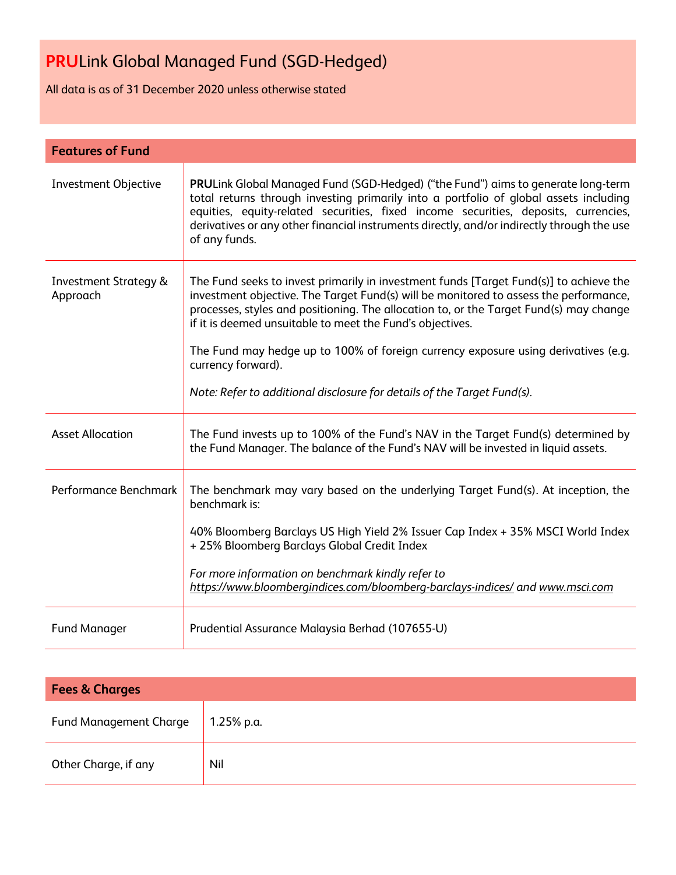All data is as of 31 December 2020 unless otherwise stated

| <b>Features of Fund</b>                      |                                                                                                                                                                                                                                                                                                                                                                                                                                                                                                                               |
|----------------------------------------------|-------------------------------------------------------------------------------------------------------------------------------------------------------------------------------------------------------------------------------------------------------------------------------------------------------------------------------------------------------------------------------------------------------------------------------------------------------------------------------------------------------------------------------|
| Investment Objective                         | <b>PRULink Global Managed Fund (SGD-Hedged) ("the Fund") aims to generate long-term</b><br>total returns through investing primarily into a portfolio of global assets including<br>equities, equity-related securities, fixed income securities, deposits, currencies,<br>derivatives or any other financial instruments directly, and/or indirectly through the use<br>of any funds.                                                                                                                                        |
| <b>Investment Strategy &amp;</b><br>Approach | The Fund seeks to invest primarily in investment funds [Target Fund(s)] to achieve the<br>investment objective. The Target Fund(s) will be monitored to assess the performance,<br>processes, styles and positioning. The allocation to, or the Target Fund(s) may change<br>if it is deemed unsuitable to meet the Fund's objectives.<br>The Fund may hedge up to 100% of foreign currency exposure using derivatives (e.g.<br>currency forward).<br>Note: Refer to additional disclosure for details of the Target Fund(s). |
| <b>Asset Allocation</b>                      | The Fund invests up to 100% of the Fund's NAV in the Target Fund(s) determined by<br>the Fund Manager. The balance of the Fund's NAV will be invested in liquid assets.                                                                                                                                                                                                                                                                                                                                                       |
| Performance Benchmark                        | The benchmark may vary based on the underlying Target Fund(s). At inception, the<br>benchmark is:<br>40% Bloomberg Barclays US High Yield 2% Issuer Cap Index + 35% MSCI World Index<br>+ 25% Bloomberg Barclays Global Credit Index<br>For more information on benchmark kindly refer to<br>https://www.bloombergindices.com/bloomberg-barclays-indices/ and www.msci.com                                                                                                                                                    |
| <b>Fund Manager</b>                          | Prudential Assurance Malaysia Berhad (107655-U)                                                                                                                                                                                                                                                                                                                                                                                                                                                                               |

| <b>Fees &amp; Charges</b>     |            |  |
|-------------------------------|------------|--|
| <b>Fund Management Charge</b> | 1.25% p.a. |  |
| Other Charge, if any          | Nil        |  |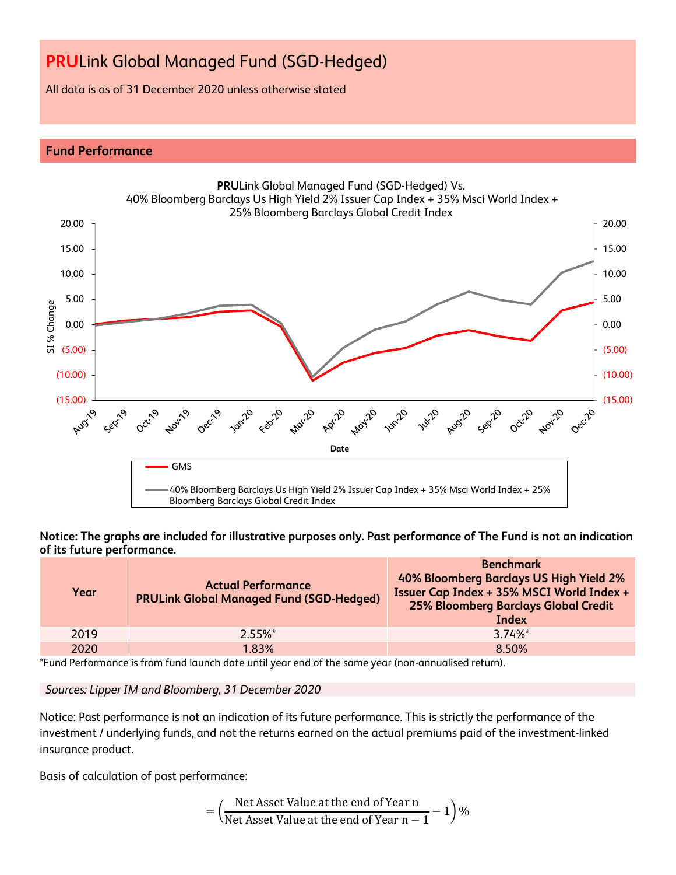All data is as of 31 December 2020 unless otherwise stated

# **Fund Performance**



## **Notice: The graphs are included for illustrative purposes only. Past performance of The Fund is not an indication of its future performance.**

| Year | <b>Actual Performance</b><br><b>PRULink Global Managed Fund (SGD-Hedged)</b> | <b>Benchmark</b><br>40% Bloomberg Barclays US High Yield 2%<br>Issuer Cap Index + 35% MSCI World Index +<br><b>25% Bloomberg Barclays Global Credit</b><br>Index |  |  |
|------|------------------------------------------------------------------------------|------------------------------------------------------------------------------------------------------------------------------------------------------------------|--|--|
| 2019 | $2.55\%$ <sup>*</sup>                                                        | $3.74\%$ *                                                                                                                                                       |  |  |
| 2020 | 1.83%                                                                        | 8.50%                                                                                                                                                            |  |  |

\*Fund Performance is from fund launch date until year end of the same year (non-annualised return).

*Sources: Lipper IM and Bloomberg, 31 December 2020*

Notice: Past performance is not an indication of its future performance. This is strictly the performance of the investment / underlying funds, and not the returns earned on the actual premiums paid of the investment-linked insurance product.

Basis of calculation of past performance:

$$
= \left(\frac{\text{Net Asset Value at the end of Year n}}{\text{Net Asset Value at the end of Year n} - 1}\right)\%
$$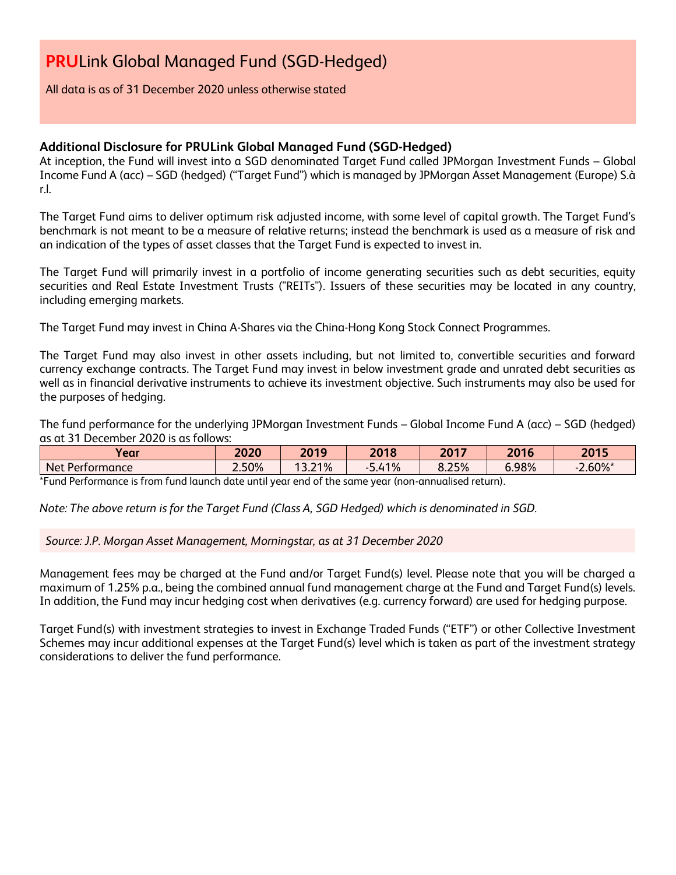All data is as of 31 December 2020 unless otherwise stated

# **Additional Disclosure for PRULink Global Managed Fund (SGD-Hedged)**

At inception, the Fund will invest into a SGD denominated Target Fund called JPMorgan Investment Funds – Global Income Fund A (acc) – SGD (hedged) ("Target Fund") which is managed by JPMorgan Asset Management (Europe) S.à r.l.

The Target Fund aims to deliver optimum risk adjusted income, with some level of capital growth. The Target Fund's benchmark is not meant to be a measure of relative returns; instead the benchmark is used as a measure of risk and an indication of the types of asset classes that the Target Fund is expected to invest in.

The Target Fund will primarily invest in a portfolio of income generating securities such as debt securities, equity securities and Real Estate Investment Trusts ("REITs"). Issuers of these securities may be located in any country, including emerging markets.

The Target Fund may invest in China A-Shares via the China-Hong Kong Stock Connect Programmes.

The Target Fund may also invest in other assets including, but not limited to, convertible securities and forward currency exchange contracts. The Target Fund may invest in below investment grade and unrated debt securities as well as in financial derivative instruments to achieve its investment objective. Such instruments may also be used for the purposes of hedging.

The fund performance for the underlying JPMorgan Investment Funds – Global Income Fund A (acc) – SGD (hedged) as at 31 December 2020 is as follows:

| Year                   | 2020  | 2019                   | 2018      | 2017  | 2016<br>16 | 2015   |
|------------------------|-------|------------------------|-----------|-------|------------|--------|
| Net I<br>: Pertormance | 2.50% | 21%<br>$\sim$<br>J.L I | 1%<br>5.4 | 8.25% | 6.98%      | 2.60%* |

\*Fund Performance is from fund launch date until year end of the same year (non-annualised return).

*Note: The above return is for the Target Fund (Class A, SGD Hedged) which is denominated in SGD.*

*Source: J.P. Morgan Asset Management, Morningstar, as at 31 December 2020*

Management fees may be charged at the Fund and/or Target Fund(s) level. Please note that you will be charged a maximum of 1.25% p.a., being the combined annual fund management charge at the Fund and Target Fund(s) levels. In addition, the Fund may incur hedging cost when derivatives (e.g. currency forward) are used for hedging purpose.

Target Fund(s) with investment strategies to invest in Exchange Traded Funds ("ETF") or other Collective Investment Schemes may incur additional expenses at the Target Fund(s) level which is taken as part of the investment strategy considerations to deliver the fund performance.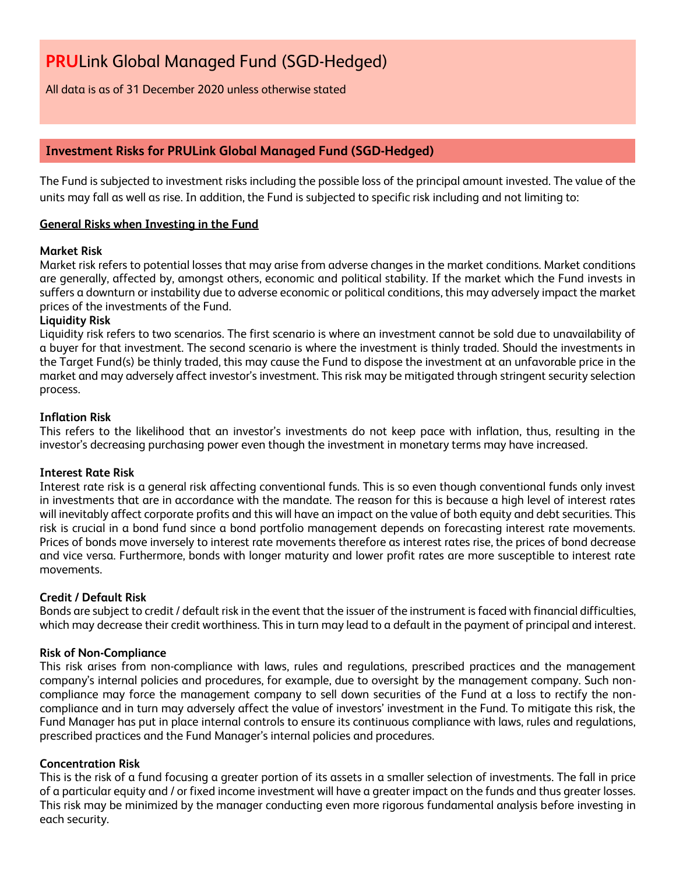All data is as of 31 December 2020 unless otherwise stated

# **Investment Risks for PRULink Global Managed Fund (SGD-Hedged)**

The Fund is subjected to investment risks including the possible loss of the principal amount invested. The value of the units may fall as well as rise. In addition, the Fund is subjected to specific risk including and not limiting to:

# **General Risks when Investing in the Fund**

## **Market Risk**

Market risk refers to potential losses that may arise from adverse changes in the market conditions. Market conditions are generally, affected by, amongst others, economic and political stability. If the market which the Fund invests in suffers a downturn or instability due to adverse economic or political conditions, this may adversely impact the market prices of the investments of the Fund.

## **Liquidity Risk**

Liquidity risk refers to two scenarios. The first scenario is where an investment cannot be sold due to unavailability of a buyer for that investment. The second scenario is where the investment is thinly traded. Should the investments in the Target Fund(s) be thinly traded, this may cause the Fund to dispose the investment at an unfavorable price in the market and may adversely affect investor's investment. This risk may be mitigated through stringent security selection process.

## **Inflation Risk**

This refers to the likelihood that an investor's investments do not keep pace with inflation, thus, resulting in the investor's decreasing purchasing power even though the investment in monetary terms may have increased.

## **Interest Rate Risk**

Interest rate risk is a general risk affecting conventional funds. This is so even though conventional funds only invest in investments that are in accordance with the mandate. The reason for this is because a high level of interest rates will inevitably affect corporate profits and this will have an impact on the value of both equity and debt securities. This risk is crucial in a bond fund since a bond portfolio management depends on forecasting interest rate movements. Prices of bonds move inversely to interest rate movements therefore as interest rates rise, the prices of bond decrease and vice versa. Furthermore, bonds with longer maturity and lower profit rates are more susceptible to interest rate movements.

## **Credit / Default Risk**

Bonds are subject to credit / default risk in the event that the issuer of the instrument is faced with financial difficulties, which may decrease their credit worthiness. This in turn may lead to a default in the payment of principal and interest.

## **Risk of Non-Compliance**

This risk arises from non-compliance with laws, rules and regulations, prescribed practices and the management company's internal policies and procedures, for example, due to oversight by the management company. Such noncompliance may force the management company to sell down securities of the Fund at a loss to rectify the noncompliance and in turn may adversely affect the value of investors' investment in the Fund. To mitigate this risk, the Fund Manager has put in place internal controls to ensure its continuous compliance with laws, rules and regulations, prescribed practices and the Fund Manager's internal policies and procedures.

## **Concentration Risk**

This is the risk of a fund focusing a greater portion of its assets in a smaller selection of investments. The fall in price of a particular equity and / or fixed income investment will have a greater impact on the funds and thus greater losses. This risk may be minimized by the manager conducting even more rigorous fundamental analysis before investing in each security.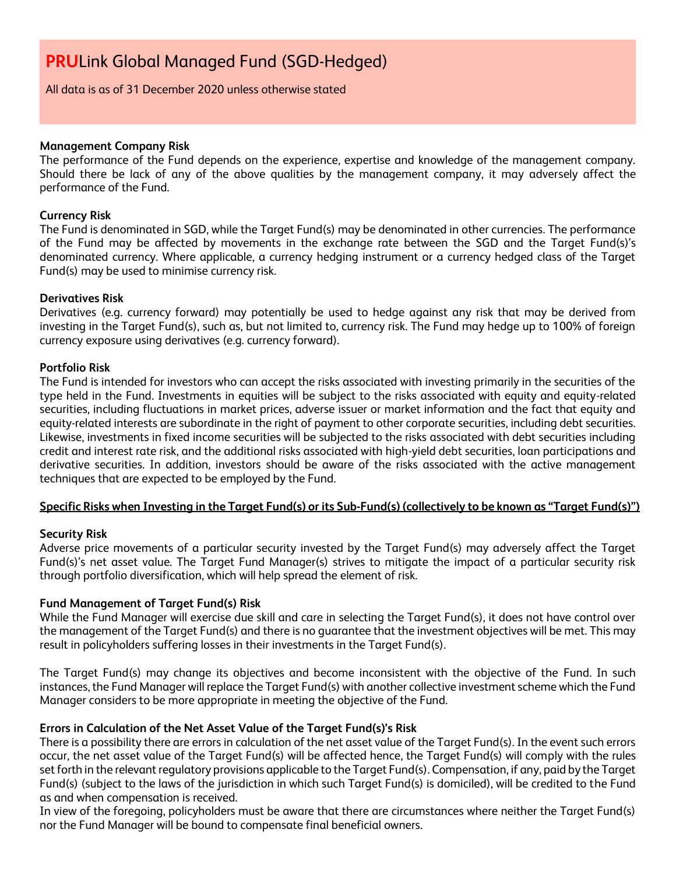All data is as of 31 December 2020 unless otherwise stated

## **Management Company Risk**

The performance of the Fund depends on the experience, expertise and knowledge of the management company. Should there be lack of any of the above qualities by the management company, it may adversely affect the performance of the Fund.

# **Currency Risk**

The Fund is denominated in SGD, while the Target Fund(s) may be denominated in other currencies. The performance of the Fund may be affected by movements in the exchange rate between the SGD and the Target Fund(s)'s denominated currency. Where applicable, a currency hedging instrument or a currency hedged class of the Target Fund(s) may be used to minimise currency risk.

## **Derivatives Risk**

Derivatives (e.g. currency forward) may potentially be used to hedge against any risk that may be derived from investing in the Target Fund(s), such as, but not limited to, currency risk. The Fund may hedge up to 100% of foreign currency exposure using derivatives (e.g. currency forward).

# **Portfolio Risk**

The Fund is intended for investors who can accept the risks associated with investing primarily in the securities of the type held in the Fund. Investments in equities will be subject to the risks associated with equity and equity-related securities, including fluctuations in market prices, adverse issuer or market information and the fact that equity and equity-related interests are subordinate in the right of payment to other corporate securities, including debt securities. Likewise, investments in fixed income securities will be subjected to the risks associated with debt securities including credit and interest rate risk, and the additional risks associated with high-yield debt securities, loan participations and derivative securities. In addition, investors should be aware of the risks associated with the active management techniques that are expected to be employed by the Fund.

# **Specific Risks when Investing in the Target Fund(s) or its Sub-Fund(s) (collectively to be known as "Target Fund(s)")**

## **Security Risk**

Adverse price movements of a particular security invested by the Target Fund(s) may adversely affect the Target Fund(s)'s net asset value. The Target Fund Manager(s) strives to mitigate the impact of a particular security risk through portfolio diversification, which will help spread the element of risk.

## **Fund Management of Target Fund(s) Risk**

While the Fund Manager will exercise due skill and care in selecting the Target Fund(s), it does not have control over the management of the Target Fund(s) and there is no guarantee that the investment objectives will be met. This may result in policyholders suffering losses in their investments in the Target Fund(s).

The Target Fund(s) may change its objectives and become inconsistent with the objective of the Fund. In such instances, the Fund Manager will replace the Target Fund(s) with another collective investment scheme which the Fund Manager considers to be more appropriate in meeting the objective of the Fund.

# **Errors in Calculation of the Net Asset Value of the Target Fund(s)'s Risk**

There is a possibility there are errors in calculation of the net asset value of the Target Fund(s). In the event such errors occur, the net asset value of the Target Fund(s) will be affected hence, the Target Fund(s) will comply with the rules set forth in the relevant regulatory provisions applicable to the Target Fund(s). Compensation, if any, paid by the Target Fund(s) (subject to the laws of the jurisdiction in which such Target Fund(s) is domiciled), will be credited to the Fund as and when compensation is received.

In view of the foregoing, policyholders must be aware that there are circumstances where neither the Target Fund(s) nor the Fund Manager will be bound to compensate final beneficial owners.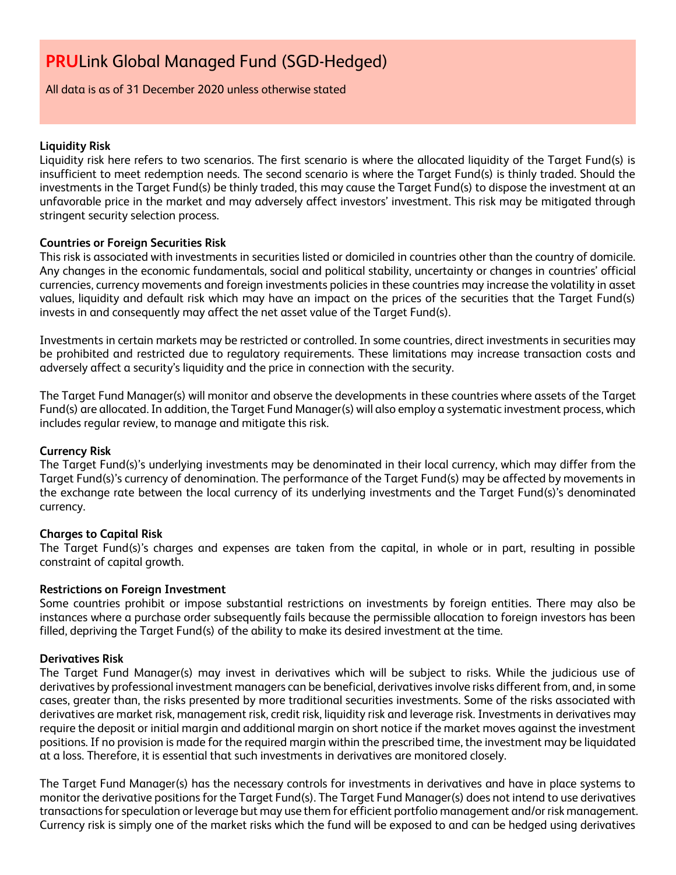All data is as of 31 December 2020 unless otherwise stated

# **Liquidity Risk**

Liquidity risk here refers to two scenarios. The first scenario is where the allocated liquidity of the Target Fund(s) is insufficient to meet redemption needs. The second scenario is where the Target Fund(s) is thinly traded. Should the investments in the Target Fund(s) be thinly traded, this may cause the Target Fund(s) to dispose the investment at an unfavorable price in the market and may adversely affect investors' investment. This risk may be mitigated through stringent security selection process.

# **Countries or Foreign Securities Risk**

This risk is associated with investments in securities listed or domiciled in countries other than the country of domicile. Any changes in the economic fundamentals, social and political stability, uncertainty or changes in countries' official currencies, currency movements and foreign investments policies in these countries may increase the volatility in asset values, liquidity and default risk which may have an impact on the prices of the securities that the Target Fund(s) invests in and consequently may affect the net asset value of the Target Fund(s).

Investments in certain markets may be restricted or controlled. In some countries, direct investments in securities may be prohibited and restricted due to regulatory requirements. These limitations may increase transaction costs and adversely affect a security's liquidity and the price in connection with the security.

The Target Fund Manager(s) will monitor and observe the developments in these countries where assets of the Target Fund(s) are allocated. In addition, the Target Fund Manager(s) will also employ a systematic investment process, which includes regular review, to manage and mitigate this risk.

## **Currency Risk**

The Target Fund(s)'s underlying investments may be denominated in their local currency, which may differ from the Target Fund(s)'s currency of denomination. The performance of the Target Fund(s) may be affected by movements in the exchange rate between the local currency of its underlying investments and the Target Fund(s)'s denominated currency.

# **Charges to Capital Risk**

The Target Fund(s)'s charges and expenses are taken from the capital, in whole or in part, resulting in possible constraint of capital growth.

## **Restrictions on Foreign Investment**

Some countries prohibit or impose substantial restrictions on investments by foreign entities. There may also be instances where a purchase order subsequently fails because the permissible allocation to foreign investors has been filled, depriving the Target Fund(s) of the ability to make its desired investment at the time.

## **Derivatives Risk**

The Target Fund Manager(s) may invest in derivatives which will be subject to risks. While the judicious use of derivatives by professional investment managers can be beneficial, derivatives involve risks different from, and, in some cases, greater than, the risks presented by more traditional securities investments. Some of the risks associated with derivatives are market risk, management risk, credit risk, liquidity risk and leverage risk. Investments in derivatives may require the deposit or initial margin and additional margin on short notice if the market moves against the investment positions. If no provision is made for the required margin within the prescribed time, the investment may be liquidated at a loss. Therefore, it is essential that such investments in derivatives are monitored closely.

The Target Fund Manager(s) has the necessary controls for investments in derivatives and have in place systems to monitor the derivative positions for the Target Fund(s). The Target Fund Manager(s) does not intend to use derivatives transactions for speculation or leverage but may use them for efficient portfolio management and/or risk management. Currency risk is simply one of the market risks which the fund will be exposed to and can be hedged using derivatives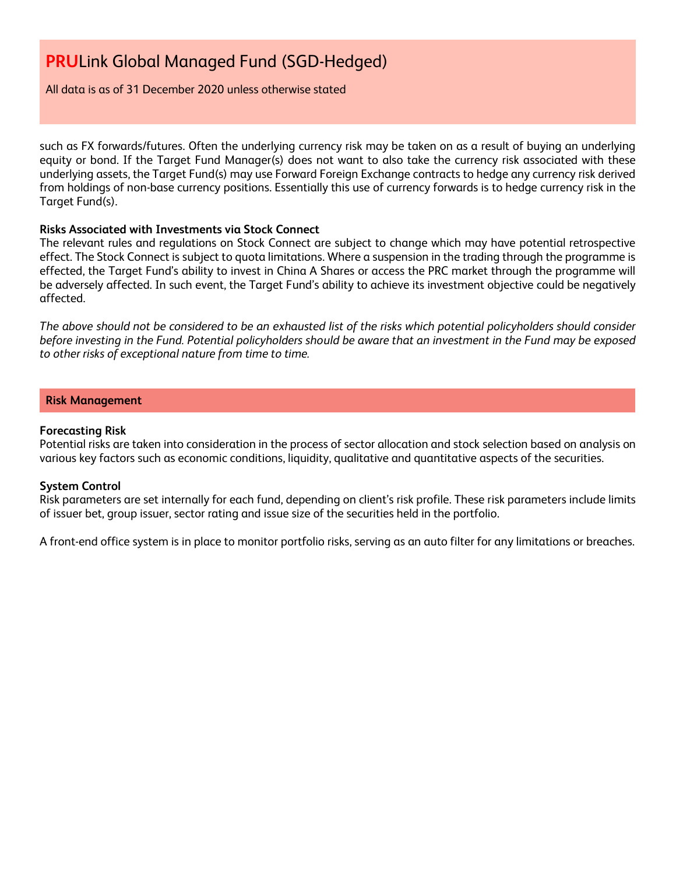All data is as of 31 December 2020 unless otherwise stated

such as FX forwards/futures. Often the underlying currency risk may be taken on as a result of buying an underlying equity or bond. If the Target Fund Manager(s) does not want to also take the currency risk associated with these underlying assets, the Target Fund(s) may use Forward Foreign Exchange contracts to hedge any currency risk derived from holdings of non-base currency positions. Essentially this use of currency forwards is to hedge currency risk in the Target Fund(s).

## **Risks Associated with Investments via Stock Connect**

The relevant rules and regulations on Stock Connect are subject to change which may have potential retrospective effect. The Stock Connect is subject to quota limitations. Where a suspension in the trading through the programme is effected, the Target Fund's ability to invest in China A Shares or access the PRC market through the programme will be adversely affected. In such event, the Target Fund's ability to achieve its investment objective could be negatively affected.

*The above should not be considered to be an exhausted list of the risks which potential policyholders should consider before investing in the Fund. Potential policyholders should be aware that an investment in the Fund may be exposed to other risks of exceptional nature from time to time.*

# **Risk Management**

## **Forecasting Risk**

Potential risks are taken into consideration in the process of sector allocation and stock selection based on analysis on various key factors such as economic conditions, liquidity, qualitative and quantitative aspects of the securities.

## **System Control**

Risk parameters are set internally for each fund, depending on client's risk profile. These risk parameters include limits of issuer bet, group issuer, sector rating and issue size of the securities held in the portfolio.

A front-end office system is in place to monitor portfolio risks, serving as an auto filter for any limitations or breaches.